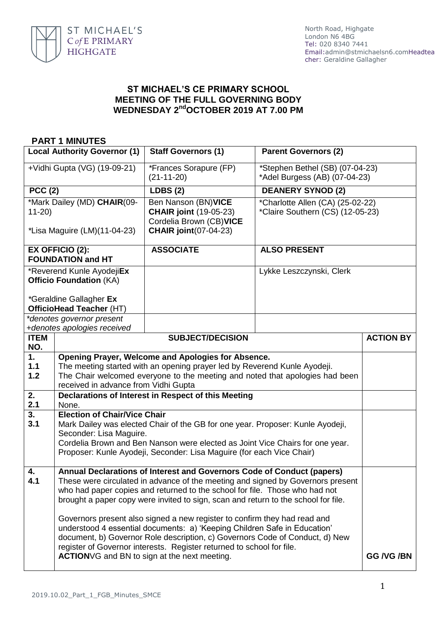

## **ST MICHAEL'S CE PRIMARY SCHOOL MEETING OF THE FULL GOVERNING BODY WEDNESDAY 2 ndOCTOBER 2019 AT 7.00 PM**

## **PART 1 MINUTES Local Authority Governor (1) Staff Governors (1) Parent Governors (2)** *+*Vidhi Gupta (VG) (19-09-21) *\**Frances Sorapure (FP) (21-11-20) *\**Stephen Bethel (SB) (07-04-23) \*Adel Burgess (AB) (07-04-23) **PCC (2) LDBS (2) DEANERY SYNOD (2)** \*Mark Dailey (MD) **CHAIR**(09- 11-20) *\**Lisa Maguire (LM)(11-04-23) Ben Nanson (BN)**VICE CHAIR joint** (19-05-23) Cordelia Brown (CB)**VICE CHAIR joint**(07-04-23) \*Charlotte Allen (CA) (25-02-22) \*Claire Southern (CS) (12-05-23) **EX OFFICIO (2): FOUNDATION and HT ASSOCIATE ALSO PRESENT** \*Reverend Kunle Ayodeji**Ex Officio Foundation** (KA) *\**Geraldine Gallagher **Ex OfficioHead Teacher** (HT) Lykke Leszczynski, Clerk *\*denotes governor present +denotes apologies received* **ITEM NO. SUBJECT/DECISION ACTION BY 1. 1.1 1.2 Opening Prayer, Welcome and Apologies for Absence.** The meeting started with an opening prayer led by Reverend Kunle Ayodeji. The Chair welcomed everyone to the meeting and noted that apologies had been received in advance from Vidhi Gupta **2. 2.1 Declarations of Interest in Respect of this Meeting** None. **3. 3.1 Election of Chair/Vice Chair** Mark Dailey was elected Chair of the GB for one year. Proposer: Kunle Ayodeji, Seconder: Lisa Maguire. Cordelia Brown and Ben Nanson were elected as Joint Vice Chairs for one year. Proposer: Kunle Ayodeji, Seconder: Lisa Maguire (for each Vice Chair) **4. 4.1 Annual Declarations of Interest and Governors Code of Conduct (papers)** These were circulated in advance of the meeting and signed by Governors present who had paper copies and returned to the school for file. Those who had not brought a paper copy were invited to sign, scan and return to the school for file. Governors present also signed a new register to confirm they had read and understood 4 essential documents: a) 'Keeping Children Safe in Education' document, b) Governor Role description, c) Governors Code of Conduct, d) New register of Governor interests. Register returned to school for file. **ACTION**VG and BN to sign at the next meeting. **GG /VG** /BN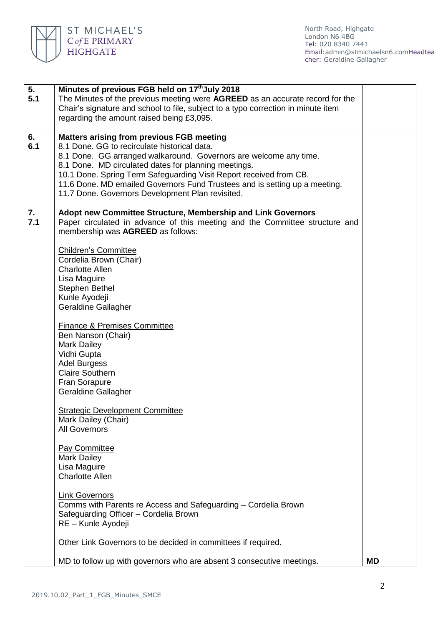

| 5.<br>5.1 | Minutes of previous FGB held on 17 <sup>th</sup> July 2018<br>The Minutes of the previous meeting were AGREED as an accurate record for the<br>Chair's signature and school to file, subject to a typo correction in minute item<br>regarding the amount raised being £3,095.                                                                                                                                                                                                                                                                                                                                                                                                                                                                                                                                                   |           |  |
|-----------|---------------------------------------------------------------------------------------------------------------------------------------------------------------------------------------------------------------------------------------------------------------------------------------------------------------------------------------------------------------------------------------------------------------------------------------------------------------------------------------------------------------------------------------------------------------------------------------------------------------------------------------------------------------------------------------------------------------------------------------------------------------------------------------------------------------------------------|-----------|--|
| 6.<br>6.1 | <b>Matters arising from previous FGB meeting</b><br>8.1 Done. GG to recirculate historical data.<br>8.1 Done. GG arranged walkaround. Governors are welcome any time.<br>8.1 Done. MD circulated dates for planning meetings.<br>10.1 Done. Spring Term Safeguarding Visit Report received from CB.<br>11.6 Done. MD emailed Governors Fund Trustees and is setting up a meeting.<br>11.7 Done. Governors Development Plan revisited.                                                                                                                                                                                                                                                                                                                                                                                           |           |  |
| 7.<br>7.1 | Adopt new Committee Structure, Membership and Link Governors<br>Paper circulated in advance of this meeting and the Committee structure and<br>membership was AGREED as follows:<br><b>Children's Committee</b><br>Cordelia Brown (Chair)<br><b>Charlotte Allen</b><br>Lisa Maguire<br>Stephen Bethel<br>Kunle Ayodeji<br><b>Geraldine Gallagher</b><br><b>Finance &amp; Premises Committee</b><br>Ben Nanson (Chair)<br><b>Mark Dailey</b><br>Vidhi Gupta<br><b>Adel Burgess</b><br><b>Claire Southern</b><br>Fran Sorapure<br><b>Geraldine Gallagher</b><br><b>Strategic Development Committee</b><br>Mark Dailey (Chair)<br>All Governors<br><b>Pay Committee</b><br><b>Mark Dailey</b><br>Lisa Maguire<br><b>Charlotte Allen</b><br><b>Link Governors</b><br>Comms with Parents re Access and Safeguarding – Cordelia Brown |           |  |
|           | Safeguarding Officer - Cordelia Brown<br>RE - Kunle Ayodeji<br>Other Link Governors to be decided in committees if required.                                                                                                                                                                                                                                                                                                                                                                                                                                                                                                                                                                                                                                                                                                    |           |  |
|           | MD to follow up with governors who are absent 3 consecutive meetings.                                                                                                                                                                                                                                                                                                                                                                                                                                                                                                                                                                                                                                                                                                                                                           | <b>MD</b> |  |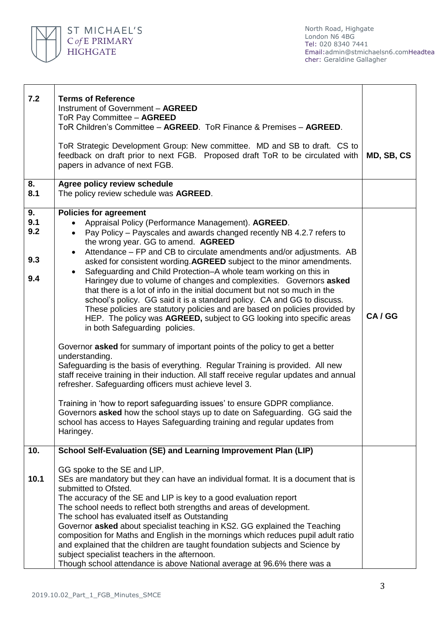

| 7.2                            | <b>Terms of Reference</b><br>Instrument of Government - AGREED<br>ToR Pay Committee - AGREED<br>ToR Children's Committee - AGREED. ToR Finance & Premises - AGREED.<br>ToR Strategic Development Group: New committee. MD and SB to draft. CS to<br>feedback on draft prior to next FGB. Proposed draft ToR to be circulated with<br>papers in advance of next FGB.                                                                                                                                                                                                                                                                                                                                                                                                                                                                                                                                                                                                                                                                                                                                                                                                                                                                                                                                                                                                                                                                                                             | MD, SB, CS |
|--------------------------------|---------------------------------------------------------------------------------------------------------------------------------------------------------------------------------------------------------------------------------------------------------------------------------------------------------------------------------------------------------------------------------------------------------------------------------------------------------------------------------------------------------------------------------------------------------------------------------------------------------------------------------------------------------------------------------------------------------------------------------------------------------------------------------------------------------------------------------------------------------------------------------------------------------------------------------------------------------------------------------------------------------------------------------------------------------------------------------------------------------------------------------------------------------------------------------------------------------------------------------------------------------------------------------------------------------------------------------------------------------------------------------------------------------------------------------------------------------------------------------|------------|
| 8.<br>8.1                      | Agree policy review schedule<br>The policy review schedule was AGREED.                                                                                                                                                                                                                                                                                                                                                                                                                                                                                                                                                                                                                                                                                                                                                                                                                                                                                                                                                                                                                                                                                                                                                                                                                                                                                                                                                                                                          |            |
| 9.<br>9.1<br>9.2<br>9.3<br>9.4 | <b>Policies for agreement</b><br>Appraisal Policy (Performance Management). AGREED.<br>Pay Policy - Payscales and awards changed recently NB 4.2.7 refers to<br>$\bullet$<br>the wrong year. GG to amend. AGREED<br>Attendance - FP and CB to circulate amendments and/or adjustments. AB<br>$\bullet$<br>asked for consistent wording. AGREED subject to the minor amendments.<br>Safeguarding and Child Protection–A whole team working on this in<br>Haringey due to volume of changes and complexities. Governors asked<br>that there is a lot of info in the initial document but not so much in the<br>school's policy. GG said it is a standard policy. CA and GG to discuss.<br>These policies are statutory policies and are based on policies provided by<br>HEP. The policy was AGREED, subject to GG looking into specific areas<br>in both Safeguarding policies.<br>Governor asked for summary of important points of the policy to get a better<br>understanding.<br>Safeguarding is the basis of everything. Regular Training is provided. All new<br>staff receive training in their induction. All staff receive regular updates and annual<br>refresher. Safeguarding officers must achieve level 3.<br>Training in 'how to report safeguarding issues' to ensure GDPR compliance.<br>Governors asked how the school stays up to date on Safeguarding. GG said the<br>school has access to Hayes Safeguarding training and regular updates from<br>Haringey. | CA/GG      |
| 10.<br>10.1                    | School Self-Evaluation (SE) and Learning Improvement Plan (LIP)<br>GG spoke to the SE and LIP.<br>SEs are mandatory but they can have an individual format. It is a document that is<br>submitted to Ofsted.<br>The accuracy of the SE and LIP is key to a good evaluation report<br>The school needs to reflect both strengths and areas of development.<br>The school has evaluated itself as Outstanding<br>Governor asked about specialist teaching in KS2. GG explained the Teaching<br>composition for Maths and English in the mornings which reduces pupil adult ratio<br>and explained that the children are taught foundation subjects and Science by<br>subject specialist teachers in the afternoon.                                                                                                                                                                                                                                                                                                                                                                                                                                                                                                                                                                                                                                                                                                                                                                |            |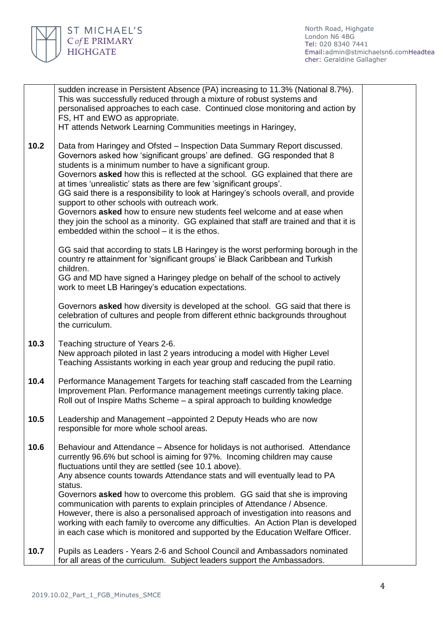

North Road, Highgate London N6 4BG Tel: 020 8340 7441 Email[:admin@stmichaelsn6.comH](mailto:admin@stmichaelsn6.com)eadtea cher: Geraldine Gallagher

|      | sudden increase in Persistent Absence (PA) increasing to 11.3% (National 8.7%).<br>This was successfully reduced through a mixture of robust systems and<br>personalised approaches to each case. Continued close monitoring and action by<br>FS, HT and EWO as appropriate.<br>HT attends Network Learning Communities meetings in Haringey,                                                                                                                                                                                                                                                                                                                                                                                                 |  |
|------|-----------------------------------------------------------------------------------------------------------------------------------------------------------------------------------------------------------------------------------------------------------------------------------------------------------------------------------------------------------------------------------------------------------------------------------------------------------------------------------------------------------------------------------------------------------------------------------------------------------------------------------------------------------------------------------------------------------------------------------------------|--|
| 10.2 | Data from Haringey and Ofsted – Inspection Data Summary Report discussed.<br>Governors asked how 'significant groups' are defined. GG responded that 8<br>students is a minimum number to have a significant group.<br>Governors asked how this is reflected at the school. GG explained that there are<br>at times 'unrealistic' stats as there are few 'significant groups'.<br>GG said there is a responsibility to look at Haringey's schools overall, and provide<br>support to other schools with outreach work.<br>Governors asked how to ensure new students feel welcome and at ease when<br>they join the school as a minority. GG explained that staff are trained and that it is<br>embedded within the school – it is the ethos. |  |
|      | GG said that according to stats LB Haringey is the worst performing borough in the<br>country re attainment for 'significant groups' ie Black Caribbean and Turkish<br>children.<br>GG and MD have signed a Haringey pledge on behalf of the school to actively<br>work to meet LB Haringey's education expectations.                                                                                                                                                                                                                                                                                                                                                                                                                         |  |
|      | Governors asked how diversity is developed at the school. GG said that there is<br>celebration of cultures and people from different ethnic backgrounds throughout<br>the curriculum.                                                                                                                                                                                                                                                                                                                                                                                                                                                                                                                                                         |  |
| 10.3 | Teaching structure of Years 2-6.<br>New approach piloted in last 2 years introducing a model with Higher Level<br>Teaching Assistants working in each year group and reducing the pupil ratio.                                                                                                                                                                                                                                                                                                                                                                                                                                                                                                                                                |  |
| 10.4 | Performance Management Targets for teaching staff cascaded from the Learning<br>Improvement Plan. Performance management meetings currently taking place.<br>Roll out of Inspire Maths Scheme - a spiral approach to building knowledge                                                                                                                                                                                                                                                                                                                                                                                                                                                                                                       |  |
| 10.5 | Leadership and Management -appointed 2 Deputy Heads who are now<br>responsible for more whole school areas.                                                                                                                                                                                                                                                                                                                                                                                                                                                                                                                                                                                                                                   |  |
| 10.6 | Behaviour and Attendance – Absence for holidays is not authorised. Attendance<br>currently 96.6% but school is aiming for 97%. Incoming children may cause<br>fluctuations until they are settled (see 10.1 above).<br>Any absence counts towards Attendance stats and will eventually lead to PA<br>status.<br>Governors asked how to overcome this problem. GG said that she is improving<br>communication with parents to explain principles of Attendance / Absence.<br>However, there is also a personalised approach of investigation into reasons and<br>working with each family to overcome any difficulties. An Action Plan is developed<br>in each case which is monitored and supported by the Education Welfare Officer.         |  |
| 10.7 | Pupils as Leaders - Years 2-6 and School Council and Ambassadors nominated<br>for all areas of the curriculum. Subject leaders support the Ambassadors.                                                                                                                                                                                                                                                                                                                                                                                                                                                                                                                                                                                       |  |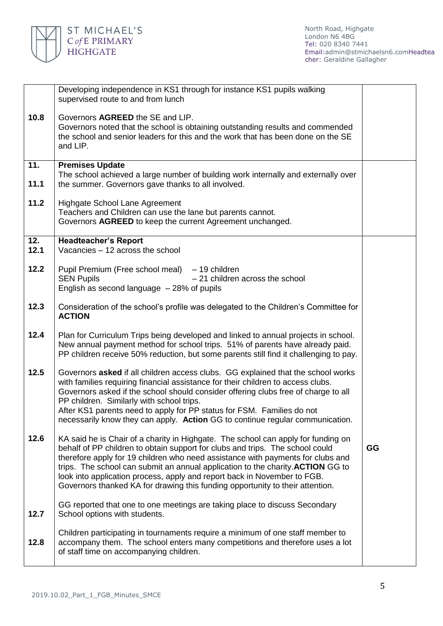

|             | Developing independence in KS1 through for instance KS1 pupils walking<br>supervised route to and from lunch                                                                                                                                                                                                                                                                                                                                                                                          |    |
|-------------|-------------------------------------------------------------------------------------------------------------------------------------------------------------------------------------------------------------------------------------------------------------------------------------------------------------------------------------------------------------------------------------------------------------------------------------------------------------------------------------------------------|----|
| 10.8        | Governors AGREED the SE and LIP.<br>Governors noted that the school is obtaining outstanding results and commended<br>the school and senior leaders for this and the work that has been done on the SE<br>and LIP.                                                                                                                                                                                                                                                                                    |    |
| 11.         | <b>Premises Update</b>                                                                                                                                                                                                                                                                                                                                                                                                                                                                                |    |
| 11.1        | The school achieved a large number of building work internally and externally over<br>the summer. Governors gave thanks to all involved.                                                                                                                                                                                                                                                                                                                                                              |    |
| 11.2        | Highgate School Lane Agreement<br>Teachers and Children can use the lane but parents cannot.<br>Governors AGREED to keep the current Agreement unchanged.                                                                                                                                                                                                                                                                                                                                             |    |
| 12.<br>12.1 | <b>Headteacher's Report</b><br>Vacancies - 12 across the school                                                                                                                                                                                                                                                                                                                                                                                                                                       |    |
| 12.2        | Pupil Premium (Free school meal) – 19 children<br>$-21$ children across the school<br><b>SEN Pupils</b><br>English as second language $-28%$ of pupils                                                                                                                                                                                                                                                                                                                                                |    |
| 12.3        | Consideration of the school's profile was delegated to the Children's Committee for<br><b>ACTION</b>                                                                                                                                                                                                                                                                                                                                                                                                  |    |
| 12.4        | Plan for Curriculum Trips being developed and linked to annual projects in school.<br>New annual payment method for school trips. 51% of parents have already paid.<br>PP children receive 50% reduction, but some parents still find it challenging to pay.                                                                                                                                                                                                                                          |    |
| 12.5        | Governors asked if all children access clubs. GG explained that the school works<br>with families requiring financial assistance for their children to access clubs.<br>Governors asked if the school should consider offering clubs free of charge to all<br>PP children. Similarly with school trips.<br>After KS1 parents need to apply for PP status for FSM. Families do not<br>necessarily know they can apply. Action GG to continue regular communication.                                    |    |
| 12.6        | KA said he is Chair of a charity in Highgate. The school can apply for funding on<br>behalf of PP children to obtain support for clubs and trips. The school could<br>therefore apply for 19 children who need assistance with payments for clubs and<br>trips. The school can submit an annual application to the charity. ACTION GG to<br>look into application process, apply and report back in November to FGB.<br>Governors thanked KA for drawing this funding opportunity to their attention. | GG |
| 12.7        | GG reported that one to one meetings are taking place to discuss Secondary<br>School options with students.                                                                                                                                                                                                                                                                                                                                                                                           |    |
| 12.8        | Children participating in tournaments require a minimum of one staff member to<br>accompany them. The school enters many competitions and therefore uses a lot<br>of staff time on accompanying children.                                                                                                                                                                                                                                                                                             |    |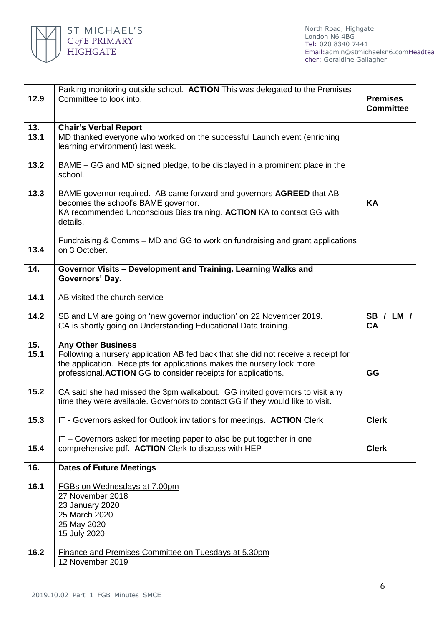

North Road, Highgate London N6 4BG Tel: 020 8340 7441 Email[:admin@stmichaelsn6.comH](mailto:admin@stmichaelsn6.com)eadtea cher: Geraldine Gallagher

| 12.9        | Parking monitoring outside school. ACTION This was delegated to the Premises<br>Committee to look into.                                                                                                                                                     | <b>Premises</b><br><b>Committee</b> |  |
|-------------|-------------------------------------------------------------------------------------------------------------------------------------------------------------------------------------------------------------------------------------------------------------|-------------------------------------|--|
| 13.<br>13.1 | <b>Chair's Verbal Report</b><br>MD thanked everyone who worked on the successful Launch event (enriching<br>learning environment) last week.                                                                                                                |                                     |  |
| 13.2        | BAME – GG and MD signed pledge, to be displayed in a prominent place in the<br>school.                                                                                                                                                                      |                                     |  |
| 13.3        | BAME governor required. AB came forward and governors AGREED that AB<br>becomes the school's BAME governor.<br>KA recommended Unconscious Bias training. ACTION KA to contact GG with<br>details.                                                           | <b>KA</b>                           |  |
| 13.4        | Fundraising & Comms – MD and GG to work on fundraising and grant applications<br>on 3 October.                                                                                                                                                              |                                     |  |
| 14.         | Governor Visits - Development and Training. Learning Walks and<br>Governors' Day.                                                                                                                                                                           |                                     |  |
| 14.1        | AB visited the church service                                                                                                                                                                                                                               |                                     |  |
| 14.2        | SB and LM are going on 'new governor induction' on 22 November 2019.<br>CA is shortly going on Understanding Educational Data training.                                                                                                                     | <b>SB / LM /</b><br>CA              |  |
| 15.<br>15.1 | <b>Any Other Business</b><br>Following a nursery application AB fed back that she did not receive a receipt for<br>the application. Receipts for applications makes the nursery look more<br>professional. ACTION GG to consider receipts for applications. | GG                                  |  |
| 15.2        | CA said she had missed the 3pm walkabout. GG invited governors to visit any<br>time they were available. Governors to contact GG if they would like to visit.                                                                                               |                                     |  |
| 15.3        | IT - Governors asked for Outlook invitations for meetings. ACTION Clerk                                                                                                                                                                                     | <b>Clerk</b>                        |  |
| 15.4        | IT - Governors asked for meeting paper to also be put together in one<br>comprehensive pdf. ACTION Clerk to discuss with HEP                                                                                                                                | <b>Clerk</b>                        |  |
| 16.         | <b>Dates of Future Meetings</b>                                                                                                                                                                                                                             |                                     |  |
| 16.1        | <b>FGBs on Wednesdays at 7.00pm</b><br>27 November 2018<br>23 January 2020<br>25 March 2020<br>25 May 2020<br>15 July 2020                                                                                                                                  |                                     |  |
| 16.2        | <b>Finance and Premises Committee on Tuesdays at 5.30pm</b><br>12 November 2019                                                                                                                                                                             |                                     |  |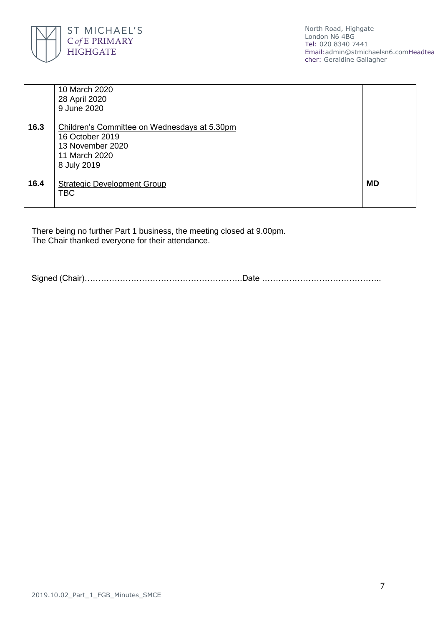

North Road, Highgate London N6 4BG Tel: 020 8340 7441 Email[:admin@stmichaelsn6.comH](mailto:admin@stmichaelsn6.com)eadtea cher: Geraldine Gallagher

|      | 10 March 2020<br>28 April 2020<br>9 June 2020                                                                       |           |  |
|------|---------------------------------------------------------------------------------------------------------------------|-----------|--|
| 16.3 | Children's Committee on Wednesdays at 5.30pm<br>16 October 2019<br>13 November 2020<br>11 March 2020<br>8 July 2019 |           |  |
| 16.4 | <b>Strategic Development Group</b><br><b>TBC</b>                                                                    | <b>MD</b> |  |

There being no further Part 1 business, the meeting closed at 9.00pm. The Chair thanked everyone for their attendance.

Signed (Chair)………………………………………………….Date ……………………………………..